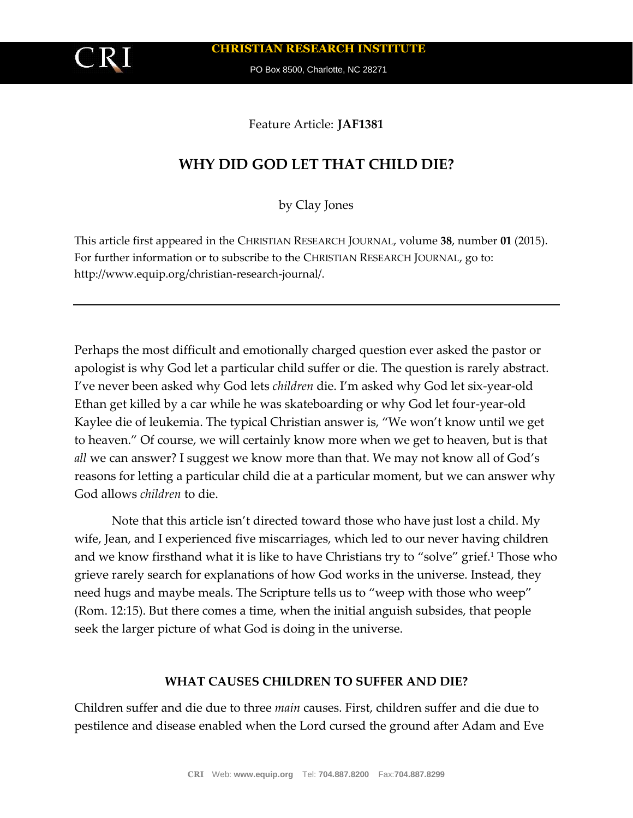

**CHRISTIAN RESEARCH INSTITUTE**

PO Box 8500, Charlotte, NC 28271

Feature Article: **JAF1381**

# **WHY DID GOD LET THAT CHILD DIE?**

by Clay Jones

This article first appeared in the CHRISTIAN RESEARCH JOURNAL, volume **38**, number **01** (2015). For further information or to subscribe to the CHRISTIAN RESEARCH JOURNAL, go to: http://www.equip.org/christian-research-journal/.

Perhaps the most difficult and emotionally charged question ever asked the pastor or apologist is why God let a particular child suffer or die. The question is rarely abstract. I've never been asked why God lets *children* die. I'm asked why God let six-year-old Ethan get killed by a car while he was skateboarding or why God let four-year-old Kaylee die of leukemia. The typical Christian answer is, "We won't know until we get to heaven." Of course, we will certainly know more when we get to heaven, but is that *all* we can answer? I suggest we know more than that. We may not know all of God's reasons for letting a particular child die at a particular moment, but we can answer why God allows *children* to die.

Note that this article isn't directed toward those who have just lost a child. My wife, Jean, and I experienced five miscarriages, which led to our never having children and we know firsthand what it is like to have Christians try to "solve" grief.<sup>1</sup> Those who grieve rarely search for explanations of how God works in the universe. Instead, they need hugs and maybe meals. The Scripture tells us to "weep with those who weep" (Rom. 12:15). But there comes a time, when the initial anguish subsides, that people seek the larger picture of what God is doing in the universe.

# **WHAT CAUSES CHILDREN TO SUFFER AND DIE?**

Children suffer and die due to three *main* causes. First, children suffer and die due to pestilence and disease enabled when the Lord cursed the ground after Adam and Eve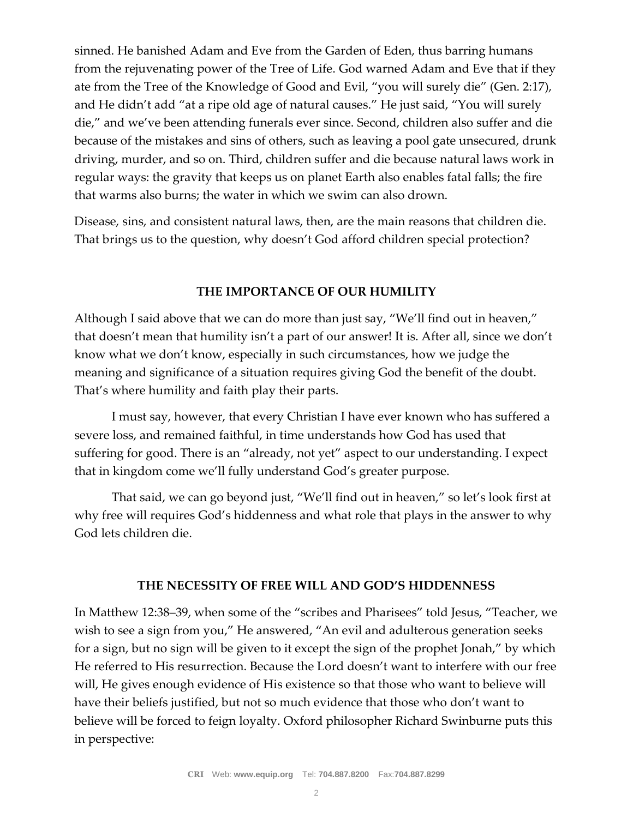sinned. He banished Adam and Eve from the Garden of Eden, thus barring humans from the rejuvenating power of the Tree of Life. God warned Adam and Eve that if they ate from the Tree of the Knowledge of Good and Evil, "you will surely die" (Gen. 2:17), and He didn't add "at a ripe old age of natural causes." He just said, "You will surely die," and we've been attending funerals ever since. Second, children also suffer and die because of the mistakes and sins of others, such as leaving a pool gate unsecured, drunk driving, murder, and so on. Third, children suffer and die because natural laws work in regular ways: the gravity that keeps us on planet Earth also enables fatal falls; the fire that warms also burns; the water in which we swim can also drown.

Disease, sins, and consistent natural laws, then, are the main reasons that children die. That brings us to the question, why doesn't God afford children special protection?

## **THE IMPORTANCE OF OUR HUMILITY**

Although I said above that we can do more than just say, "We'll find out in heaven," that doesn't mean that humility isn't a part of our answer! It is. After all, since we don't know what we don't know, especially in such circumstances, how we judge the meaning and significance of a situation requires giving God the benefit of the doubt. That's where humility and faith play their parts.

I must say, however, that every Christian I have ever known who has suffered a severe loss, and remained faithful, in time understands how God has used that suffering for good. There is an "already, not yet" aspect to our understanding. I expect that in kingdom come we'll fully understand God's greater purpose.

That said, we can go beyond just, "We'll find out in heaven," so let's look first at why free will requires God's hiddenness and what role that plays in the answer to why God lets children die.

### **THE NECESSITY OF FREE WILL AND GOD'S HIDDENNESS**

In Matthew 12:38–39, when some of the "scribes and Pharisees" told Jesus, "Teacher, we wish to see a sign from you," He answered, "An evil and adulterous generation seeks for a sign, but no sign will be given to it except the sign of the prophet Jonah," by which He referred to His resurrection. Because the Lord doesn't want to interfere with our free will, He gives enough evidence of His existence so that those who want to believe will have their beliefs justified, but not so much evidence that those who don't want to believe will be forced to feign loyalty. Oxford philosopher Richard Swinburne puts this in perspective: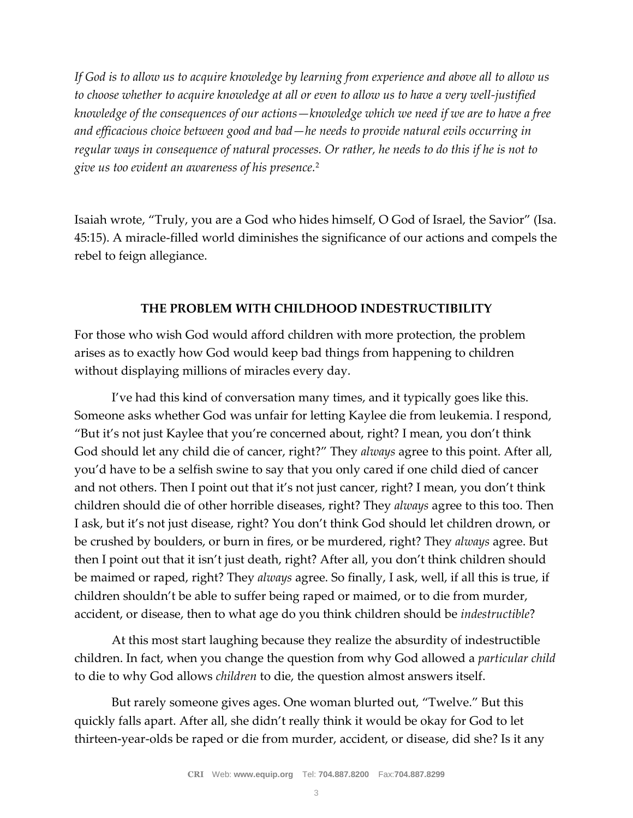*If God is to allow us to acquire knowledge by learning from experience and above all to allow us to choose whether to acquire knowledge at all or even to allow us to have a very well-justified knowledge of the consequences of our actions—knowledge which we need if we are to have a free and efficacious choice between good and bad—he needs to provide natural evils occurring in regular ways in consequence of natural processes. Or rather, he needs to do this if he is not to give us too evident an awareness of his presence.*<sup>2</sup>

Isaiah wrote, "Truly, you are a God who hides himself, O God of Israel, the Savior" (Isa. 45:15). A miracle-filled world diminishes the significance of our actions and compels the rebel to feign allegiance.

### **THE PROBLEM WITH CHILDHOOD INDESTRUCTIBILITY**

For those who wish God would afford children with more protection, the problem arises as to exactly how God would keep bad things from happening to children without displaying millions of miracles every day.

I've had this kind of conversation many times, and it typically goes like this. Someone asks whether God was unfair for letting Kaylee die from leukemia. I respond, "But it's not just Kaylee that you're concerned about, right? I mean, you don't think God should let any child die of cancer, right?" They *always* agree to this point. After all, you'd have to be a selfish swine to say that you only cared if one child died of cancer and not others. Then I point out that it's not just cancer, right? I mean, you don't think children should die of other horrible diseases, right? They *always* agree to this too. Then I ask, but it's not just disease, right? You don't think God should let children drown, or be crushed by boulders, or burn in fires, or be murdered, right? They *always* agree. But then I point out that it isn't just death, right? After all, you don't think children should be maimed or raped, right? They *always* agree. So finally, I ask, well, if all this is true, if children shouldn't be able to suffer being raped or maimed, or to die from murder, accident, or disease, then to what age do you think children should be *indestructible*?

At this most start laughing because they realize the absurdity of indestructible children. In fact, when you change the question from why God allowed a *particular child* to die to why God allows *children* to die, the question almost answers itself.

But rarely someone gives ages. One woman blurted out, "Twelve." But this quickly falls apart. After all, she didn't really think it would be okay for God to let thirteen-year-olds be raped or die from murder, accident, or disease, did she? Is it any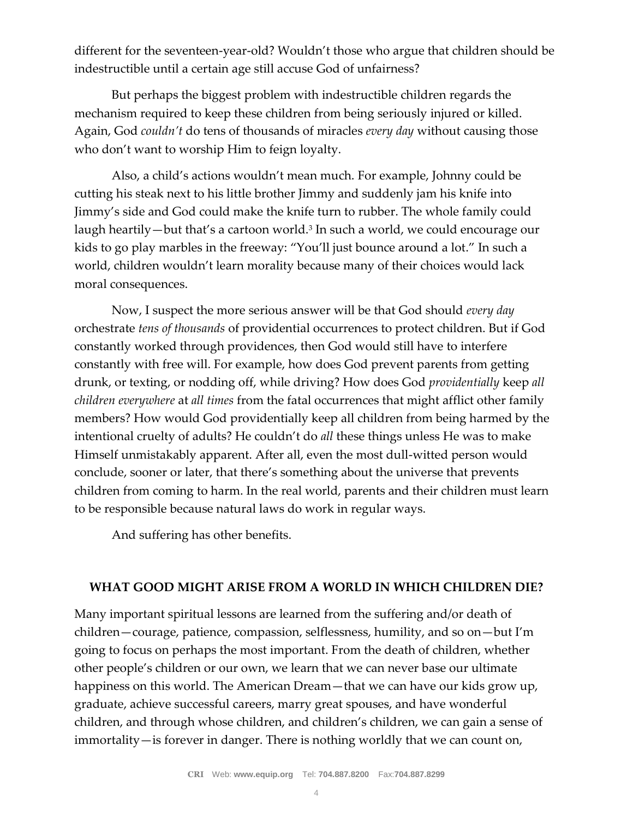different for the seventeen-year-old? Wouldn't those who argue that children should be indestructible until a certain age still accuse God of unfairness?

But perhaps the biggest problem with indestructible children regards the mechanism required to keep these children from being seriously injured or killed. Again, God *couldn't* do tens of thousands of miracles *every day* without causing those who don't want to worship Him to feign loyalty.

Also, a child's actions wouldn't mean much. For example, Johnny could be cutting his steak next to his little brother Jimmy and suddenly jam his knife into Jimmy's side and God could make the knife turn to rubber. The whole family could laugh heartily—but that's a cartoon world.<sup>3</sup> In such a world, we could encourage our kids to go play marbles in the freeway: "You'll just bounce around a lot." In such a world, children wouldn't learn morality because many of their choices would lack moral consequences.

Now, I suspect the more serious answer will be that God should *every day* orchestrate *tens of thousands* of providential occurrences to protect children. But if God constantly worked through providences, then God would still have to interfere constantly with free will. For example, how does God prevent parents from getting drunk, or texting, or nodding off, while driving? How does God *providentially* keep *all children everywhere* at *all times* from the fatal occurrences that might afflict other family members? How would God providentially keep all children from being harmed by the intentional cruelty of adults? He couldn't do *all* these things unless He was to make Himself unmistakably apparent. After all, even the most dull-witted person would conclude, sooner or later, that there's something about the universe that prevents children from coming to harm. In the real world, parents and their children must learn to be responsible because natural laws do work in regular ways.

And suffering has other benefits.

### **WHAT GOOD MIGHT ARISE FROM A WORLD IN WHICH CHILDREN DIE?**

Many important spiritual lessons are learned from the suffering and/or death of children—courage, patience, compassion, selflessness, humility, and so on—but I'm going to focus on perhaps the most important. From the death of children, whether other people's children or our own, we learn that we can never base our ultimate happiness on this world. The American Dream—that we can have our kids grow up, graduate, achieve successful careers, marry great spouses, and have wonderful children, and through whose children, and children's children, we can gain a sense of immortality—is forever in danger. There is nothing worldly that we can count on,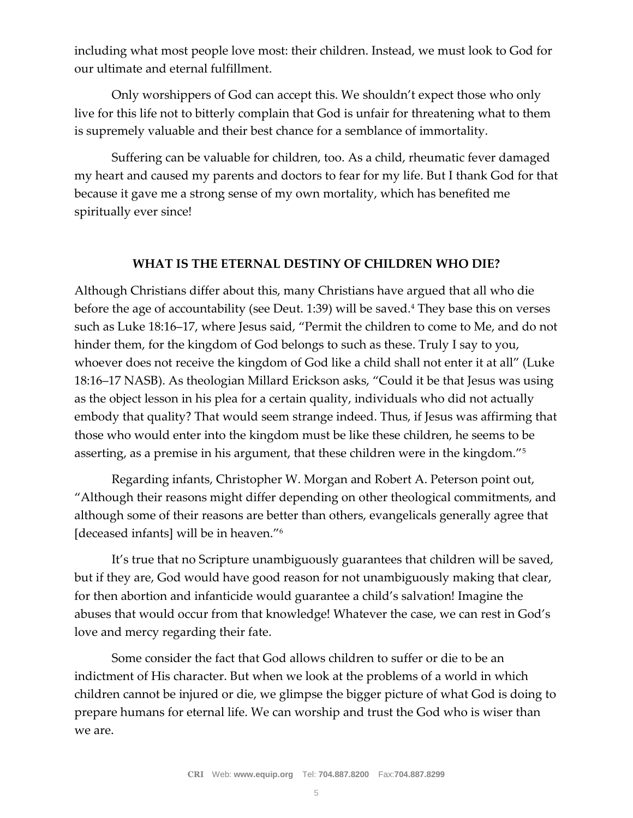including what most people love most: their children. Instead, we must look to God for our ultimate and eternal fulfillment.

Only worshippers of God can accept this. We shouldn't expect those who only live for this life not to bitterly complain that God is unfair for threatening what to them is supremely valuable and their best chance for a semblance of immortality.

Suffering can be valuable for children, too. As a child, rheumatic fever damaged my heart and caused my parents and doctors to fear for my life. But I thank God for that because it gave me a strong sense of my own mortality, which has benefited me spiritually ever since!

### **WHAT IS THE ETERNAL DESTINY OF CHILDREN WHO DIE?**

Although Christians differ about this, many Christians have argued that all who die before the age of accountability (see Deut. 1:39) will be saved.<sup>4</sup> They base this on verses such as Luke 18:16–17, where Jesus said, "Permit the children to come to Me, and do not hinder them, for the kingdom of God belongs to such as these. Truly I say to you, whoever does not receive the kingdom of God like a child shall not enter it at all" (Luke 18:16–17 NASB). As theologian Millard Erickson asks, "Could it be that Jesus was using as the object lesson in his plea for a certain quality, individuals who did not actually embody that quality? That would seem strange indeed. Thus, if Jesus was affirming that those who would enter into the kingdom must be like these children, he seems to be asserting, as a premise in his argument, that these children were in the kingdom."<sup>5</sup>

Regarding infants, Christopher W. Morgan and Robert A. Peterson point out, "Although their reasons might differ depending on other theological commitments, and although some of their reasons are better than others, evangelicals generally agree that [deceased infants] will be in heaven."<sup>6</sup>

It's true that no Scripture unambiguously guarantees that children will be saved, but if they are, God would have good reason for not unambiguously making that clear, for then abortion and infanticide would guarantee a child's salvation! Imagine the abuses that would occur from that knowledge! Whatever the case, we can rest in God's love and mercy regarding their fate.

Some consider the fact that God allows children to suffer or die to be an indictment of His character. But when we look at the problems of a world in which children cannot be injured or die, we glimpse the bigger picture of what God is doing to prepare humans for eternal life. We can worship and trust the God who is wiser than we are.